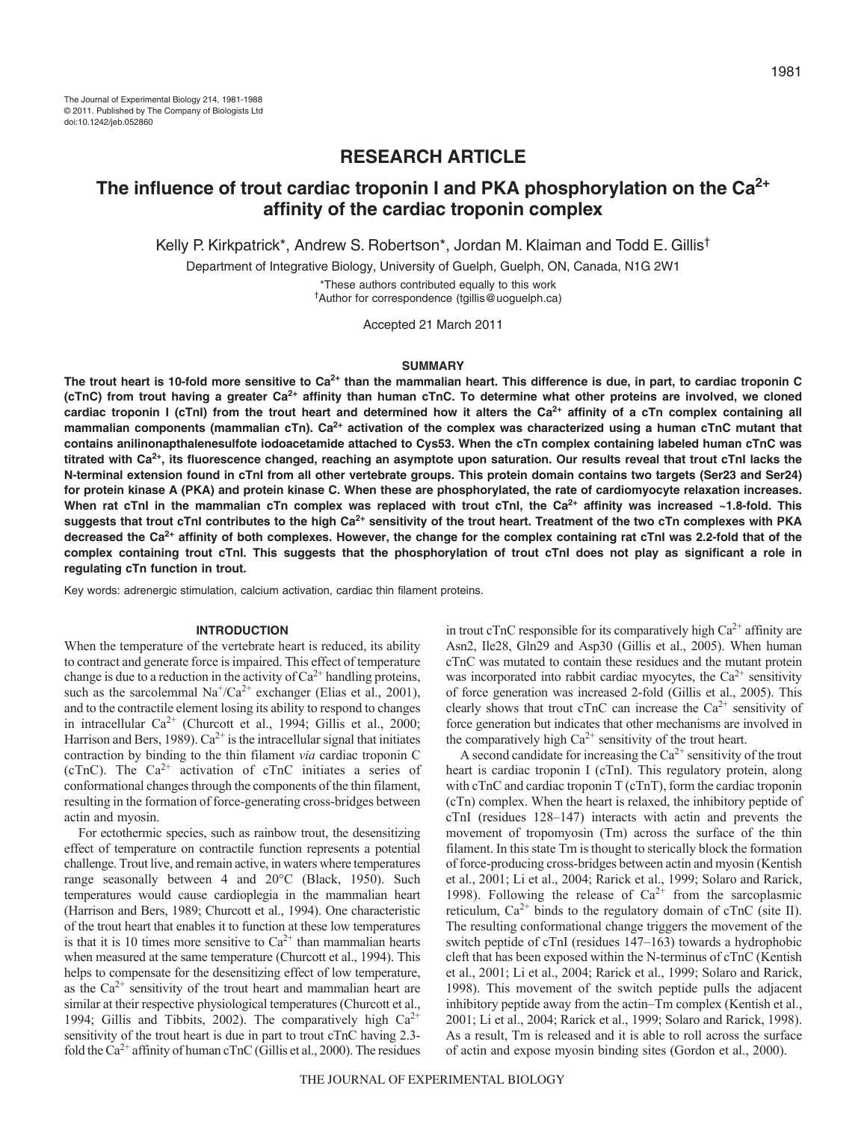# **RESEARCH ARTICLE**

# **The influence of trout cardiac troponin I and PKA phosphorylation on the Ca2+ affinity of the cardiac troponin complex**

Kelly P. Kirkpatrick\*, Andrew S. Robertson\*, Jordan M. Klaiman and Todd E. Gillis†

Department of Integrative Biology, University of Guelph, Guelph, ON, Canada, N1G 2W1

\*These authors contributed equally to this work

†Author for correspondence (tgillis@uoguelph.ca)

Accepted 21 March 2011

## **SUMMARY**

**The trout heart is 10-fold more sensitive to Ca2+ than the mammalian heart. This difference is due, in part, to cardiac troponin C (cTnC) from trout having a greater Ca2+ affinity than human cTnC. To determine what other proteins are involved, we cloned** cardiac troponin I (cTnI) from the trout heart and determined how it alters the Ca<sup>2+</sup> affinity of a cTn complex containing all mammalian components (mammalian cTn). Ca<sup>2+</sup> activation of the complex was characterized using a human cTnC mutant that **contains anilinonapthalenesulfote iodoacetamide attached to Cys53. When the cTn complex containing labeled human cTnC was titrated with Ca2+, its fluorescence changed, reaching an asymptote upon saturation. Our results reveal that trout cTnI lacks the N-terminal extension found in cTnI from all other vertebrate groups. This protein domain contains two targets (Ser23 and Ser24) for protein kinase A (PKA) and protein kinase C. When these are phosphorylated, the rate of cardiomyocyte relaxation increases.** When rat cTnI in the mammalian cTn complex was replaced with trout cTnI, the Ca<sup>2+</sup> affinity was increased ~1.8-fold. This **suggests that trout cTnI contributes to the high Ca2+ sensitivity of the trout heart. Treatment of the two cTn complexes with PKA decreased the Ca2+ affinity of both complexes. However, the change for the complex containing rat cTnI was 2.2-fold that of the complex containing trout cTnI. This suggests that the phosphorylation of trout cTnI does not play as significant a role in regulating cTn function in trout.**

Key words: adrenergic stimulation, calcium activation, cardiac thin filament proteins.

### **INTRODUCTION**

When the temperature of the vertebrate heart is reduced, its ability to contract and generate force is impaired. This effect of temperature change is due to a reduction in the activity of  $Ca^{2+}$  handling proteins, such as the sarcolemmal  $Na^+/Ca^{2+}$  exchanger (Elias et al., 2001), and to the contractile element losing its ability to respond to changes in intracellular  $Ca^{2+}$  (Churcott et al., 1994; Gillis et al., 2000; Harrison and Bers, 1989).  $Ca^{2+}$  is the intracellular signal that initiates contraction by binding to the thin filament *via* cardiac troponin C (cTnC). The  $Ca^{2+}$  activation of cTnC initiates a series of conformational changes through the components of the thin filament, resulting in the formation of force-generating cross-bridges between actin and myosin.

For ectothermic species, such as rainbow trout, the desensitizing effect of temperature on contractile function represents a potential challenge. Trout live, and remain active, in waters where temperatures range seasonally between 4 and 20°C (Black, 1950). Such temperatures would cause cardioplegia in the mammalian heart (Harrison and Bers, 1989; Churcott et al., 1994). One characteristic of the trout heart that enables it to function at these low temperatures is that it is 10 times more sensitive to  $Ca^{2+}$  than mammalian hearts when measured at the same temperature (Churcott et al., 1994). This helps to compensate for the desensitizing effect of low temperature, as the  $Ca^{2+}$  sensitivity of the trout heart and mammalian heart are similar at their respective physiological temperatures (Churcott et al., 1994; Gillis and Tibbits, 2002). The comparatively high  $Ca^{2+}$ sensitivity of the trout heart is due in part to trout cTnC having 2.3 fold the  $Ca^{2+}$  affinity of human cTnC (Gillis et al., 2000). The residues

in trout cTnC responsible for its comparatively high  $Ca<sup>2+</sup>$  affinity are Asn2, Ile28, Gln29 and Asp30 (Gillis et al., 2005). When human cTnC was mutated to contain these residues and the mutant protein was incorporated into rabbit cardiac myocytes, the  $Ca^{2+}$  sensitivity of force generation was increased 2-fold (Gillis et al., 2005). This clearly shows that trout cTnC can increase the  $Ca^{2+}$  sensitivity of force generation but indicates that other mechanisms are involved in the comparatively high  $Ca^{2+}$  sensitivity of the trout heart.

A second candidate for increasing the  $Ca^{2+}$  sensitivity of the trout heart is cardiac troponin I (cTnI). This regulatory protein, along with cTnC and cardiac troponin T (cTnT), form the cardiac troponin (cTn) complex. When the heart is relaxed, the inhibitory peptide of cTnI (residues 128–147) interacts with actin and prevents the movement of tropomyosin (Tm) across the surface of the thin filament. In this state Tm is thought to sterically block the formation of force-producing cross-bridges between actin and myosin (Kentish et al., 2001; Li et al., 2004; Rarick et al., 1999; Solaro and Rarick, 1998). Following the release of  $Ca^{2+}$  from the sarcoplasmic reticulum,  $Ca^{2+}$  binds to the regulatory domain of cTnC (site II). The resulting conformational change triggers the movement of the switch peptide of cTnI (residues 147–163) towards a hydrophobic cleft that has been exposed within the N-terminus of cTnC (Kentish et al., 2001; Li et al., 2004; Rarick et al., 1999; Solaro and Rarick, 1998). This movement of the switch peptide pulls the adjacent inhibitory peptide away from the actin–Tm complex (Kentish et al., 2001; Li et al., 2004; Rarick et al., 1999; Solaro and Rarick, 1998). As a result, Tm is released and it is able to roll across the surface of actin and expose myosin binding sites (Gordon et al., 2000).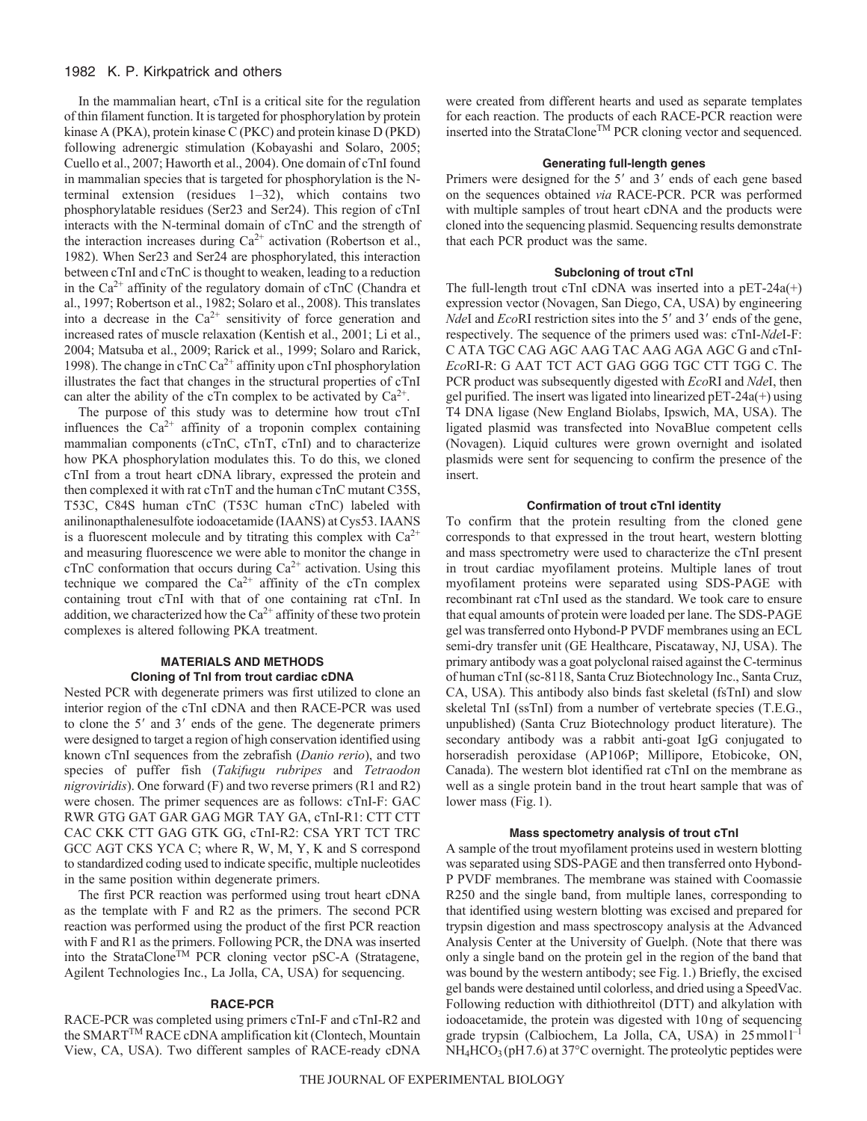## 1982 K. P. Kirkpatrick and others

In the mammalian heart, cTnI is a critical site for the regulation of thin filament function. It is targeted for phosphorylation by protein kinase A (PKA), protein kinase C (PKC) and protein kinase D (PKD) following adrenergic stimulation (Kobayashi and Solaro, 2005; Cuello et al., 2007; Haworth et al., 2004). One domain of cTnI found in mammalian species that is targeted for phosphorylation is the Nterminal extension (residues 1–32), which contains two phosphorylatable residues (Ser23 and Ser24). This region of cTnI interacts with the N-terminal domain of cTnC and the strength of the interaction increases during  $Ca^{2+}$  activation (Robertson et al., 1982). When Ser23 and Ser24 are phosphorylated, this interaction between cTnI and cTnC is thought to weaken, leading to a reduction in the  $Ca^{2+}$  affinity of the regulatory domain of cTnC (Chandra et al., 1997; Robertson et al., 1982; Solaro et al., 2008). This translates into a decrease in the  $Ca^{2+}$  sensitivity of force generation and increased rates of muscle relaxation (Kentish et al., 2001; Li et al., 2004; Matsuba et al., 2009; Rarick et al., 1999; Solaro and Rarick, 1998). The change in cTnC Ca<sup>2+</sup> affinity upon cTnI phosphorylation illustrates the fact that changes in the structural properties of cTnI can alter the ability of the cTn complex to be activated by  $Ca^{2+}$ .

The purpose of this study was to determine how trout cTnI influences the  $Ca^{2+}$  affinity of a troponin complex containing mammalian components (cTnC, cTnT, cTnI) and to characterize how PKA phosphorylation modulates this. To do this, we cloned cTnI from a trout heart cDNA library, expressed the protein and then complexed it with rat cTnT and the human cTnC mutant C35S, T53C, C84S human cTnC (T53C human cTnC) labeled with anilinonapthalenesulfote iodoacetamide (IAANS) at Cys53. IAANS is a fluorescent molecule and by titrating this complex with  $Ca^{2+}$ and measuring fluorescence we were able to monitor the change in cTnC conformation that occurs during  $Ca^{2+}$  activation. Using this technique we compared the  $Ca^{2+}$  affinity of the cTn complex containing trout cTnI with that of one containing rat cTnI. In addition, we characterized how the  $Ca^{2+}$  affinity of these two protein complexes is altered following PKA treatment.

## **MATERIALS AND METHODS Cloning of TnI from trout cardiac cDNA**

Nested PCR with degenerate primers was first utilized to clone an interior region of the cTnI cDNA and then RACE-PCR was used to clone the 5' and 3' ends of the gene. The degenerate primers were designed to target a region of high conservation identified using known cTnI sequences from the zebrafish (*Danio rerio*), and two species of puffer fish (*Takifugu rubripes* and *Tetraodon nigroviridis*). One forward (F) and two reverse primers (R1 and R2) were chosen. The primer sequences are as follows: cTnI-F: GAC RWR GTG GAT GAR GAG MGR TAY GA, cTnI-R1: CTT CTT CAC CKK CTT GAG GTK GG, cTnI-R2: CSA YRT TCT TRC GCC AGT CKS YCA C; where R, W, M, Y, K and S correspond to standardized coding used to indicate specific, multiple nucleotides in the same position within degenerate primers.

The first PCR reaction was performed using trout heart cDNA as the template with F and R2 as the primers. The second PCR reaction was performed using the product of the first PCR reaction with F and R1 as the primers. Following PCR, the DNA was inserted into the StrataClone<sup>TM</sup> PCR cloning vector pSC-A (Stratagene, Agilent Technologies Inc., La Jolla, CA, USA) for sequencing.

### **RACE-PCR**

RACE-PCR was completed using primers cTnI-F and cTnI-R2 and the SMARTTM RACE cDNA amplification kit (Clontech, Mountain View, CA, USA). Two different samples of RACE-ready cDNA were created from different hearts and used as separate templates for each reaction. The products of each RACE-PCR reaction were inserted into the StrataCloneTM PCR cloning vector and sequenced.

## **Generating full-length genes**

Primers were designed for the 5' and 3' ends of each gene based on the sequences obtained *via* RACE-PCR. PCR was performed with multiple samples of trout heart cDNA and the products were cloned into the sequencing plasmid. Sequencing results demonstrate that each PCR product was the same.

### **Subcloning of trout cTnI**

The full-length trout cTnI cDNA was inserted into a pET-24a(+) expression vector (Novagen, San Diego, CA, USA) by engineering *NdeI* and *EcoRI* restriction sites into the 5' and 3' ends of the gene, respectively. The sequence of the primers used was: cTnI-*Nde*I-F: C ATA TGC CAG AGC AAG TAC AAG AGA AGC G and cTnI-*Eco*RI-R: G AAT TCT ACT GAG GGG TGC CTT TGG C. The PCR product was subsequently digested with *Eco*RI and *Nde*I, then gel purified. The insert was ligated into linearized pET-24a(+) using T4 DNA ligase (New England Biolabs, Ipswich, MA, USA). The ligated plasmid was transfected into NovaBlue competent cells (Novagen). Liquid cultures were grown overnight and isolated plasmids were sent for sequencing to confirm the presence of the insert.

## **Confirmation of trout cTnI identity**

To confirm that the protein resulting from the cloned gene corresponds to that expressed in the trout heart, western blotting and mass spectrometry were used to characterize the cTnI present in trout cardiac myofilament proteins. Multiple lanes of trout myofilament proteins were separated using SDS-PAGE with recombinant rat cTnI used as the standard. We took care to ensure that equal amounts of protein were loaded per lane. The SDS-PAGE gel was transferred onto Hybond-P PVDF membranes using an ECL semi-dry transfer unit (GE Healthcare, Piscataway, NJ, USA). The primary antibody was a goat polyclonal raised against the C-terminus of human cTnI (sc-8118, Santa Cruz Biotechnology Inc., Santa Cruz, CA, USA). This antibody also binds fast skeletal (fsTnI) and slow skeletal TnI (ssTnI) from a number of vertebrate species (T.E.G., unpublished) (Santa Cruz Biotechnology product literature). The secondary antibody was a rabbit anti-goat IgG conjugated to horseradish peroxidase (AP106P; Millipore, Etobicoke, ON, Canada). The western blot identified rat cTnI on the membrane as well as a single protein band in the trout heart sample that was of lower mass (Fig. 1).

## **Mass spectometry analysis of trout cTnI**

A sample of the trout myofilament proteins used in western blotting was separated using SDS-PAGE and then transferred onto Hybond-P PVDF membranes. The membrane was stained with Coomassie R250 and the single band, from multiple lanes, corresponding to that identified using western blotting was excised and prepared for trypsin digestion and mass spectroscopy analysis at the Advanced Analysis Center at the University of Guelph. (Note that there was only a single band on the protein gel in the region of the band that was bound by the western antibody; see Fig.1.) Briefly, the excised gel bands were destained until colorless, and dried using a SpeedVac. Following reduction with dithiothreitol (DTT) and alkylation with iodoacetamide, the protein was digested with 10ng of sequencing grade trypsin (Calbiochem, La Jolla, CA, USA) in 25 mmol<sup>1-1</sup>  $NH<sub>4</sub>HCO<sub>3</sub>(pH7.6)$  at 37°C overnight. The proteolytic peptides were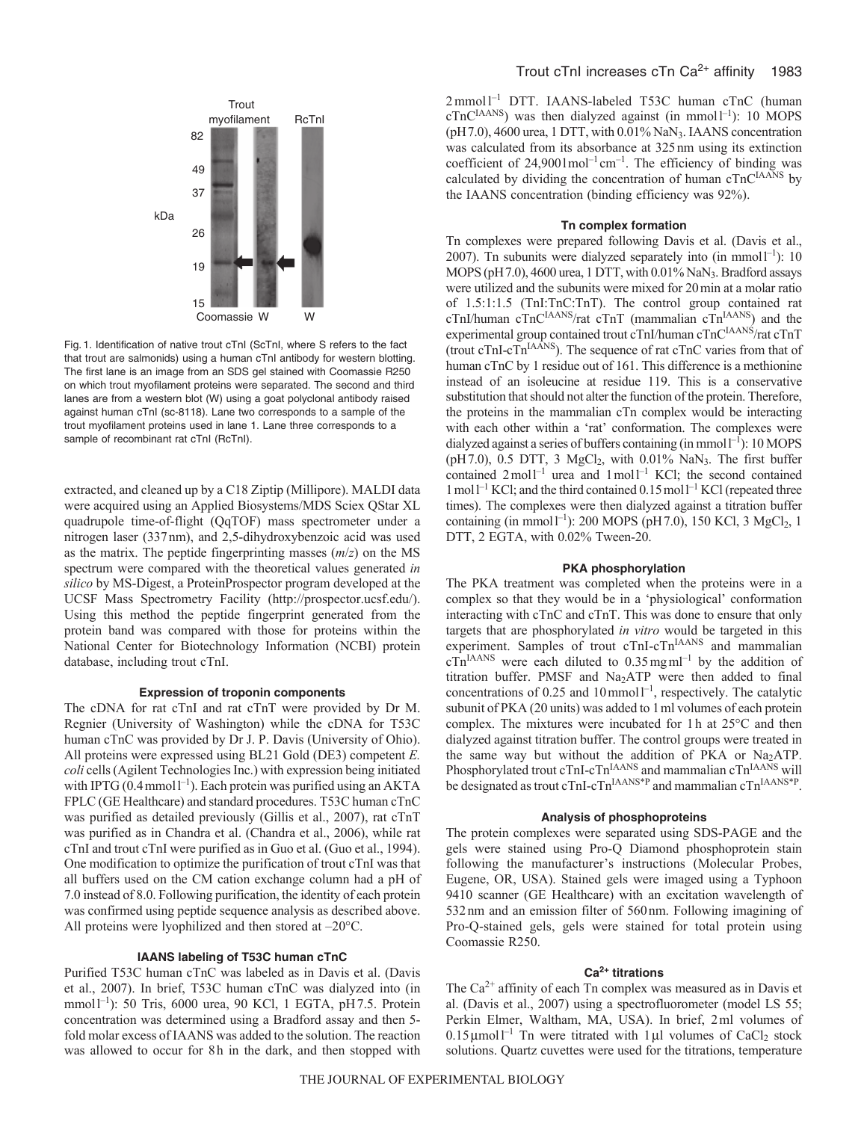

Fig. 1. Identification of native trout cTnI (ScTnI, where S refers to the fact that trout are salmonids) using a human cTnI antibody for western blotting. The first lane is an image from an SDS gel stained with Coomassie R250 on which trout myofilament proteins were separated. The second and third lanes are from a western blot (W) using a goat polyclonal antibody raised against human cTnI (sc-8118). Lane two corresponds to a sample of the trout myofilament proteins used in lane 1. Lane three corresponds to a sample of recombinant rat cTnI (RcTnI).

extracted, and cleaned up by a C18 Ziptip (Millipore). MALDI data were acquired using an Applied Biosystems/MDS Sciex QStar XL quadrupole time-of-flight (QqTOF) mass spectrometer under a nitrogen laser (337nm), and 2,5-dihydroxybenzoic acid was used as the matrix. The peptide fingerprinting masses (*m*/*z*) on the MS spectrum were compared with the theoretical values generated *in silico* by MS-Digest, a ProteinProspector program developed at the UCSF Mass Spectrometry Facility (http://prospector.ucsf.edu/). Using this method the peptide fingerprint generated from the protein band was compared with those for proteins within the National Center for Biotechnology Information (NCBI) protein database, including trout cTnI.

## **Expression of troponin components**

The cDNA for rat cTnI and rat cTnT were provided by Dr M. Regnier (University of Washington) while the cDNA for T53C human cTnC was provided by Dr J. P. Davis (University of Ohio). All proteins were expressed using BL21 Gold (DE3) competent *E. coli* cells (Agilent Technologies Inc.) with expression being initiated with IPTG (0.4 mmol  $l^{-1}$ ). Each protein was purified using an AKTA FPLC (GE Healthcare) and standard procedures. T53C human cTnC was purified as detailed previously (Gillis et al., 2007), rat cTnT was purified as in Chandra et al. (Chandra et al., 2006), while rat cTnI and trout cTnI were purified as in Guo et al. (Guo et al., 1994). One modification to optimize the purification of trout cTnI was that all buffers used on the CM cation exchange column had a pH of 7.0 instead of 8.0. Following purification, the identity of each protein was confirmed using peptide sequence analysis as described above. All proteins were lyophilized and then stored at –20°C.

## **IAANS labeling of T53C human cTnC**

Purified T53C human cTnC was labeled as in Davis et al. (Davis et al., 2007). In brief, T53C human cTnC was dialyzed into (in mmoll –1): 50 Tris, 6000 urea, 90 KCl, 1 EGTA, pH7.5. Protein concentration was determined using a Bradford assay and then 5 fold molar excess of IAANS was added to the solution. The reaction was allowed to occur for 8h in the dark, and then stopped with

2 mmol<sup>1-1</sup> DTT. IAANS-labeled T53C human cTnC (human  $cTnC<sup>IAANS</sup>$ ) was then dialyzed against (in mmoll<sup>-1</sup>): 10 MOPS (pH7.0), 4600 urea, 1 DTT, with 0.01% NaN3. IAANS concentration was calculated from its absorbance at 325nm using its extinction coefficient of  $24,9001 \text{mol}^{-1} \text{cm}^{-1}$ . The efficiency of binding was calculated by dividing the concentration of human cTnC<sup>IAANS</sup> by the IAANS concentration (binding efficiency was 92%).

## **Tn complex formation**

Tn complexes were prepared following Davis et al. (Davis et al., 2007). Tn subunits were dialyzed separately into (in mmol $1^{-1}$ ): 10 MOPS (pH7.0), 4600 urea, 1 DTT, with 0.01% NaN<sub>3</sub>. Bradford assays were utilized and the subunits were mixed for 20min at a molar ratio of 1.5:1:1.5 (TnI:TnC:TnT). The control group contained rat cTnI/human cTnC<sup>IAANS</sup>/rat cTnT (mammalian cTn<sup>IAANS</sup>) and the experimental group contained trout cTnI/human cTnC<sup>IAANS</sup>/rat cTnT (trout cTnI-cTnIAANS). The sequence of rat cTnC varies from that of human cTnC by 1 residue out of 161. This difference is a methionine instead of an isoleucine at residue 119. This is a conservative substitution that should not alter the function of the protein. Therefore, the proteins in the mammalian cTn complex would be interacting with each other within a 'rat' conformation. The complexes were dialyzed against a series of buffers containing (in mmol $1^{-1}$ ): 10 MOPS (pH7.0), 0.5 DTT, 3 MgCl<sub>2</sub>, with 0.01% NaN<sub>3</sub>. The first buffer contained  $2 \text{mol}^{-1}$  urea and  $1 \text{mol}^{-1}$  KCl; the second contained  $1 \text{ mol } l^{-1}$  KCl; and the third contained 0.15 mol  $l^{-1}$  KCl (repeated three times). The complexes were then dialyzed against a titration buffer containing (in mmol1<sup>-1</sup>): 200 MOPS (pH7.0), 150 KCl, 3 MgCl<sub>2</sub>, 1 DTT, 2 EGTA, with 0.02% Tween-20.

## **PKA phosphorylation**

The PKA treatment was completed when the proteins were in a complex so that they would be in a 'physiological' conformation interacting with cTnC and cTnT. This was done to ensure that only targets that are phosphorylated *in vitro* would be targeted in this experiment. Samples of trout cTnI-cTn<sup>IAANS</sup> and mammalian  $cTn^{IANSS}$  were each diluted to  $0.35$  mgml<sup>-1</sup> by the addition of titration buffer. PMSF and Na<sub>2</sub>ATP were then added to final concentrations of 0.25 and  $10$  mmol<sup>1-1</sup>, respectively. The catalytic subunit of PKA (20 units) was added to 1ml volumes of each protein complex. The mixtures were incubated for 1h at 25°C and then dialyzed against titration buffer. The control groups were treated in the same way but without the addition of PKA or Na2ATP.  $\frac{1}{2}$  Phosphorylated trout cTnI-cTn<sup>IAANS</sup> and mammalian cTn<sup>IAANS</sup> will be designated as trout cTnI-cTn<sup>IAANS\*P</sup> and mammalian cTn<sup>IAANS\*P</sup>.

### **Analysis of phosphoproteins**

The protein complexes were separated using SDS-PAGE and the gels were stained using Pro-Q Diamond phosphoprotein stain following the manufacturer's instructions (Molecular Probes, Eugene, OR, USA). Stained gels were imaged using a Typhoon 9410 scanner (GE Healthcare) with an excitation wavelength of 532nm and an emission filter of 560nm. Following imagining of Pro-Q-stained gels, gels were stained for total protein using Coomassie R250.

## **Ca2+ titrations**

The  $Ca^{2+}$  affinity of each Tn complex was measured as in Davis et al. (Davis et al., 2007) using a spectrofluorometer (model LS 55; Perkin Elmer, Waltham, MA, USA). In brief, 2ml volumes of  $0.15 \mu$ moll<sup>-1</sup> Tn were titrated with 1 $\mu$ l volumes of CaCl<sub>2</sub> stock solutions. Quartz cuvettes were used for the titrations, temperature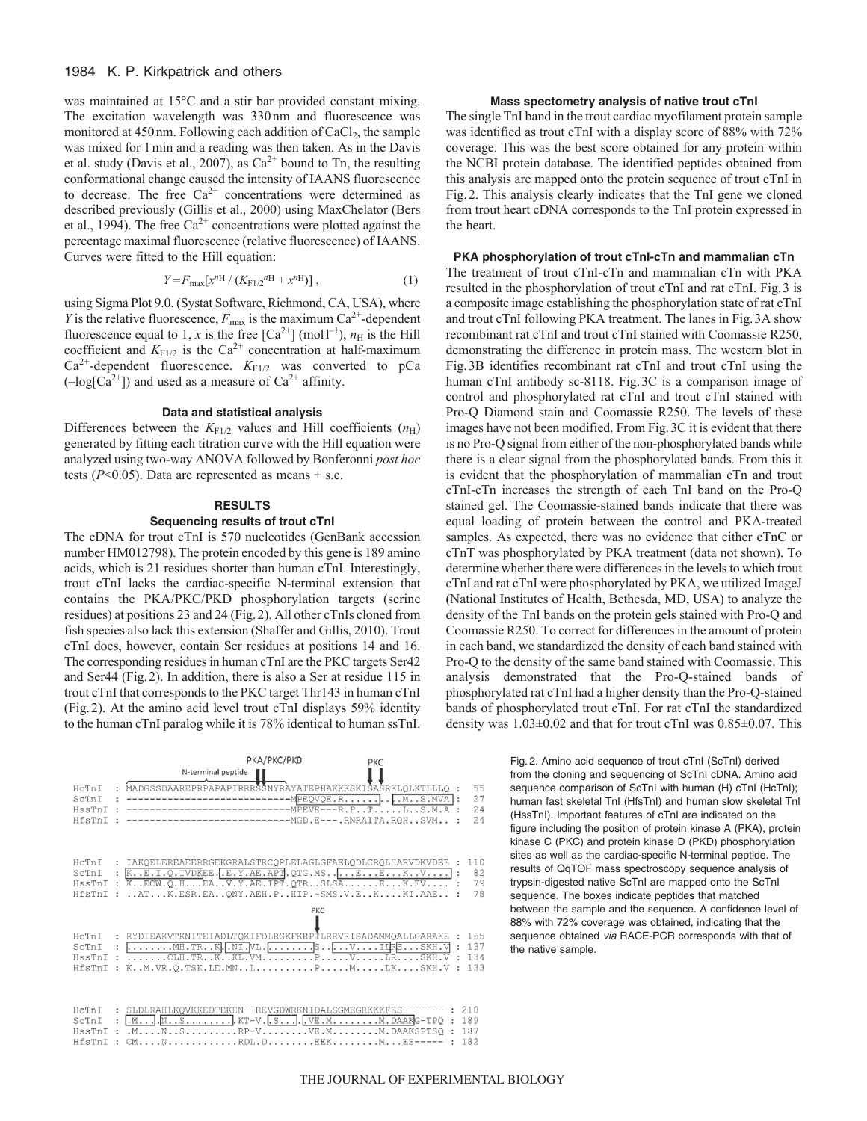## 1984 K. P. Kirkpatrick and others

was maintained at 15°C and a stir bar provided constant mixing. The excitation wavelength was 330 nm and fluorescence was monitored at 450 nm. Following each addition of CaCl<sub>2</sub>, the sample was mixed for 1min and a reading was then taken. As in the Davis et al. study (Davis et al., 2007), as  $Ca^{2+}$  bound to Tn, the resulting conformational change caused the intensity of IAANS fluorescence to decrease. The free  $Ca^{2+}$  concentrations were determined as described previously (Gillis et al., 2000) using MaxChelator (Bers et al., 1994). The free  $Ca^{2+}$  concentrations were plotted against the percentage maximal fluorescence (relative fluorescence) of IAANS. Curves were fitted to the Hill equation:

$$
Y = F_{\text{max}}[x^{nH} / (K_{F1/2}{}^{nH} + x^{nH})],
$$
 (1)

using Sigma Plot 9.0. (Systat Software, Richmond, CA, USA), where *Y* is the relative fluorescence,  $F_{\text{max}}$  is the maximum Ca<sup>2+</sup>-dependent fluorescence equal to 1, *x* is the free  $[Ca^{2+}]$  (moll<sup>-1</sup>),  $n<sub>H</sub>$  is the Hill coefficient and  $K_{F1/2}$  is the Ca<sup>2+</sup> concentration at half-maximum  $Ca^{2+}$ -dependent fluorescence.  $K_{F1/2}$  was converted to pCa  $(-\log[\overline{Ca}^{2+}])$  and used as a measure of  $Ca^{2+}$  affinity.

#### **Data and statistical analysis**

Differences between the  $K_{F1/2}$  values and Hill coefficients  $(n_H)$ generated by fitting each titration curve with the Hill equation were analyzed using two-way ANOVA followed by Bonferonni *post hoc* tests ( $P<0.05$ ). Data are represented as means  $\pm$  s.e.

#### **RESULTS**

### **Sequencing results of trout cTnI**

The cDNA for trout cTnI is 570 nucleotides (GenBank accession number HM012798). The protein encoded by this gene is 189 amino acids, which is 21 residues shorter than human cTnI. Interestingly, trout cTnI lacks the cardiac-specific N-terminal extension that contains the PKA/PKC/PKD phosphorylation targets (serine residues) at positions 23 and 24 (Fig.2). All other cTnIs cloned from fish species also lack this extension (Shaffer and Gillis, 2010). Trout cTnI does, however, contain Ser residues at positions 14 and 16. The corresponding residues in human cTnI are the PKC targets Ser42 and Ser44 (Fig.2). In addition, there is also a Ser at residue 115 in trout cTnI that corresponds to the PKC target Thr143 in human cTnI (Fig.2). At the amino acid level trout cTnI displays 59% identity to the human cTnI paralog while it is 78% identical to human ssTnI.

|                                    | PKA/PKC/PKD<br>PKC<br>N-terminal peptide                                                                                                                                                                                                             |                          |
|------------------------------------|------------------------------------------------------------------------------------------------------------------------------------------------------------------------------------------------------------------------------------------------------|--------------------------|
| HcTnI<br>ScTnI<br>HssTnI<br>HfsTnI | MADGSSDAAREPRPAPAPIRRRSSNYRAYATEPHAKKKSKISASRKLOLKTLLLO :                                                                                                                                                                                            | 55<br>27<br>24<br>24     |
| HcTnI<br>ScTnI<br>HssTnI           | IAKQELEREAEERRGEKGRALSTRCQPLELAGLGFAELQDLCRQLHARVDKVDEE :<br>: $KE.I.Q.IVDREE.F.E.Y.AE.APT.QTG.MS.  .EEK. .V$ :<br>: $K. ECW. O.H. EA. . V. Y. AE. IPT. OTR. . SLSA. E. K.EV. :$<br>HfsTnI : ATK.ESR.EAONY.AEH.PHIP.-SMS.V.EKKI.AAE :<br><b>PKC</b>  | 110<br>82<br>79<br>78    |
| HcTnI<br>ScTnI<br>HssTnI :         | : RYDIEAKVTKNITEIADLTOKIFDLRGKFKRPTLRRVRISADAMMOALLGARAKE :<br>$\dots\dots\dots$ MH.TR. $K$ . $N1.VL$ . $SV$ ILRS. $.SKH.V$ :<br>$\ldots$ CLH.TR. $\ldots$ KL.VM. $\ldots$ P. $\ldots$ .VLRSKH.V<br>$HfsTnI : K.M.VR.O.TSK.LE.MN.L. M. LK. SKH.V. :$ | 165<br>137<br>134<br>133 |
|                                    | Uslam . CLDLDAULKOUVERSEREN BEVORDINIERTS<br>$\sim$ 010                                                                                                                                                                                              |                          |

|  |  | HCTNI : SLDLKAHLKOVKKEDTEKEN--KEVGDWKKNIDALSGMEGKKKKFES------- : ZIU |  |
|--|--|----------------------------------------------------------------------|--|
|  |  |                                                                      |  |
|  |  | $H\text{ssTnI}:$ $.MNSRP-VVE.MM.DAAKSPTSO: 187$                      |  |
|  |  | $HfsTnI : CMNRDL.DEEKMES-----: 182$                                  |  |

### **Mass spectometry analysis of native trout cTnI**

The single TnI band in the trout cardiac myofilament protein sample was identified as trout cTnI with a display score of 88% with 72% coverage. This was the best score obtained for any protein within the NCBI protein database. The identified peptides obtained from this analysis are mapped onto the protein sequence of trout cTnI in Fig.2. This analysis clearly indicates that the TnI gene we cloned from trout heart cDNA corresponds to the TnI protein expressed in the heart.

#### **PKA phosphorylation of trout cTnI-cTn and mammalian cTn**

The treatment of trout cTnI-cTn and mammalian cTn with PKA resulted in the phosphorylation of trout cTnI and rat cTnI. Fig.3 is a composite image establishing the phosphorylation state of rat cTnI and trout cTnI following PKA treatment. The lanes in Fig.3A show recombinant rat cTnI and trout cTnI stained with Coomassie R250, demonstrating the difference in protein mass. The western blot in Fig.3B identifies recombinant rat cTnI and trout cTnI using the human cTnI antibody sc-8118. Fig.3C is a comparison image of control and phosphorylated rat cTnI and trout cTnI stained with Pro-Q Diamond stain and Coomassie R250. The levels of these images have not been modified. From Fig.3C it is evident that there is no Pro-Q signal from either of the non-phosphorylated bands while there is a clear signal from the phosphorylated bands. From this it is evident that the phosphorylation of mammalian cTn and trout cTnI-cTn increases the strength of each TnI band on the Pro-Q stained gel. The Coomassie-stained bands indicate that there was equal loading of protein between the control and PKA-treated samples. As expected, there was no evidence that either cTnC or cTnT was phosphorylated by PKA treatment (data not shown). To determine whether there were differences in the levels to which trout cTnI and rat cTnI were phosphorylated by PKA, we utilized ImageJ (National Institutes of Health, Bethesda, MD, USA) to analyze the density of the TnI bands on the protein gels stained with Pro-Q and Coomassie R250. To correct for differences in the amount of protein in each band, we standardized the density of each band stained with Pro-Q to the density of the same band stained with Coomassie. This analysis demonstrated that the Pro-Q-stained bands of phosphorylated rat cTnI had a higher density than the Pro-Q-stained bands of phosphorylated trout cTnI. For rat cTnI the standardized density was 1.03±0.02 and that for trout cTnI was 0.85±0.07. This

> Fig. 2. Amino acid sequence of trout cTnI (ScTnI) derived from the cloning and sequencing of ScTnI cDNA. Amino acid sequence comparison of ScTnI with human (H) cTnI (HcTnI); human fast skeletal TnI (HfsTnI) and human slow skeletal TnI (HssTnI). Important features of cTnI are indicated on the figure including the position of protein kinase A (PKA), protein kinase C (PKC) and protein kinase D (PKD) phosphorylation sites as well as the cardiac-specific N-terminal peptide. The results of QqTOF mass spectroscopy sequence analysis of trypsin-digested native ScTnI are mapped onto the ScTnI sequence. The boxes indicate peptides that matched between the sample and the sequence. A confidence level of 88% with 72% coverage was obtained, indicating that the sequence obtained via RACE-PCR corresponds with that of the native sample.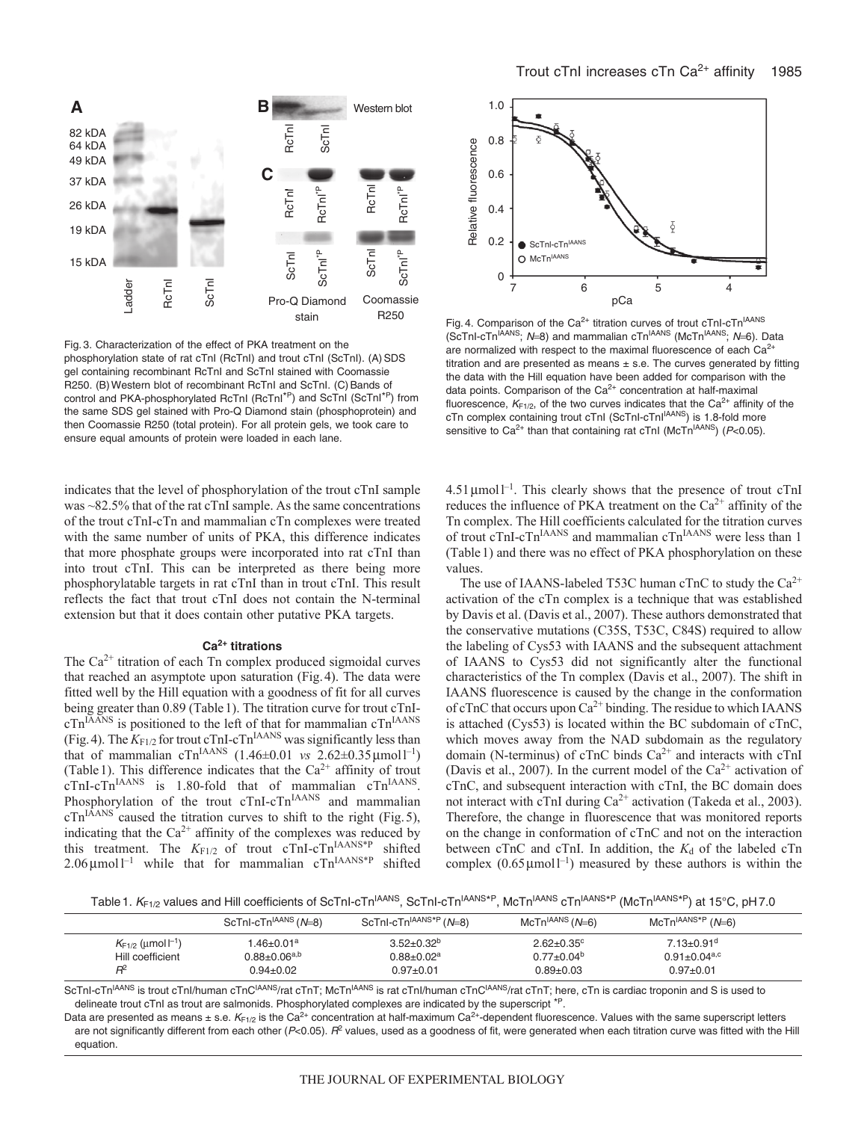



Fig. 3. Characterization of the effect of PKA treatment on the phosphorylation state of rat cTnI (RcTnI) and trout cTnI (ScTnI). (A) SDS gel containing recombinant RcTnI and ScTnI stained with Coomassie R250. (B) Western blot of recombinant RcTnI and ScTnI. (C) Bands of control and PKA-phosphorylated RcTnI (RcTnI\*P) and ScTnI (ScTnI\*P) from the same SDS gel stained with Pro-Q Diamond stain (phosphoprotein) and then Coomassie R250 (total protein). For all protein gels, we took care to ensure equal amounts of protein were loaded in each lane.

indicates that the level of phosphorylation of the trout cTnI sample was ~82.5% that of the rat cTnI sample. As the same concentrations of the trout cTnI-cTn and mammalian cTn complexes were treated with the same number of units of PKA, this difference indicates that more phosphate groups were incorporated into rat cTnI than into trout cTnI. This can be interpreted as there being more phosphorylatable targets in rat cTnI than in trout cTnI. This result reflects the fact that trout cTnI does not contain the N-terminal extension but that it does contain other putative PKA targets.

## **Ca2+ titrations**

The  $Ca<sup>2+</sup>$  titration of each Tn complex produced sigmoidal curves that reached an asymptote upon saturation (Fig.4). The data were fitted well by the Hill equation with a goodness of fit for all curves being greater than 0.89 (Table 1). The titration curve for trout cTnI $cTn^{I\overline{A\overline{A}NS}}$  is positioned to the left of that for mammalian  $cTn^{I\overline{A}ANS}$ (Fig. 4). The  $K_{F1/2}$  for trout cTnI-cTn<sup>IAANS</sup> was significantly less than that of mammalian  $cTn^{IAMS}$  (1.46±0.01 *vs* 2.62±0.35 $\mu$ moll<sup>-1</sup>) (Table 1). This difference indicates that the  $Ca^{2+}$  affinity of trout cTnI-cTn<sup>IAANS</sup> is 1.80-fold that of mammalian cTn<sup>IAANS</sup>. Phosphorylation of the trout cTnI-cTn<sup>IAANS</sup> and mammalian  $cTn^{I\hat{A}ANS}$  caused the titration curves to shift to the right (Fig. 5), indicating that the  $Ca^{2+}$  affinity of the complexes was reduced by this treatment. The  $K_{F1/2}$  of trout cTnI-cTn<sup>IAANS\*P</sup> shifted  $2.06 \mu$ mol l<sup>-1</sup> while that for mammalian cTn<sup>IAANS\*P</sup> shifted



Fig. 4. Comparison of the Ca<sup>2+</sup> titration curves of trout cTnI-cTn<sup>IAANS</sup> (ScTnI-cTn<sup>IAANS</sup>; N=8) and mammalian cTn<sup>IAANS</sup> (McTn<sup>IAANS</sup>; N=6). Data are normalized with respect to the maximal fluorescence of each Ca<sup>2+</sup> titration and are presented as means  $\pm$  s.e. The curves generated by fitting the data with the Hill equation have been added for comparison with the data points. Comparison of the Ca<sup>2+</sup> concentration at half-maximal fluorescence,  $K_{F1/2}$ , of the two curves indicates that the Ca<sup>2+</sup> affinity of the cTn complex containing trout cTnI (ScTnI-cTnI<sup>IAANS</sup>) is 1.8-fold more sensitive to Ca<sup>2+</sup> than that containing rat cTnI (McTn<sup>IAANS</sup>) ( $P$ <0.05).

 $4.51 \mu$ mol<sup>1-1</sup>. This clearly shows that the presence of trout cTnI reduces the influence of PKA treatment on the  $Ca^{2+}$  affinity of the Tn complex. The Hill coefficients calculated for the titration curves of trout cTnI-cTn<sup>IAANS</sup> and mammalian cTn<sup>IAANS</sup> were less than 1 (Table1) and there was no effect of PKA phosphorylation on these values.

The use of IAANS-labeled T53C human cTnC to study the  $Ca^{2+}$ activation of the cTn complex is a technique that was established by Davis et al. (Davis et al., 2007). These authors demonstrated that the conservative mutations (C35S, T53C, C84S) required to allow the labeling of Cys53 with IAANS and the subsequent attachment of IAANS to Cys53 did not significantly alter the functional characteristics of the Tn complex (Davis et al., 2007). The shift in IAANS fluorescence is caused by the change in the conformation of cTnC that occurs upon  $Ca^{2+}$  binding. The residue to which IAANS is attached (Cys53) is located within the BC subdomain of cTnC, which moves away from the NAD subdomain as the regulatory domain (N-terminus) of cTnC binds  $Ca^{2+}$  and interacts with cTnI (Davis et al., 2007). In the current model of the  $Ca^{2+}$  activation of cTnC, and subsequent interaction with cTnI, the BC domain does not interact with cTnI during  $Ca^{2+}$  activation (Takeda et al., 2003). Therefore, the change in fluorescence that was monitored reports on the change in conformation of cTnC and not on the interaction between c $TnC$  and c $TnI$ . In addition, the  $K_d$  of the labeled c $Tn$ complex  $(0.65 \mu \text{mol})^{-1}$  measured by these authors is within the

Table 1. K<sub>F1/2</sub> values and Hill coefficients of ScTnI-cTn<sup>IAANS</sup>, ScTnI-cTn<sup>IAANS\*P</sup>, McTn<sup>IAANS\*P</sup> (McTn<sup>IAANS\*P</sup>) at 15°C, pH7.0

|                                          | ScTnI-cTn <sup>IAANS</sup> (N=8) | ScTnI-cTn <sup>IAANS*P</sup> (N=8) | $McTnIAANS (N=6)$            | McTn <sup>IAANS*P</sup> (N=6)  |  |
|------------------------------------------|----------------------------------|------------------------------------|------------------------------|--------------------------------|--|
| $K_{F1/2}$ (µmol $\Gamma$ <sup>1</sup> ) | 1.46±0.01 <sup>a</sup>           | $3.52 \pm 0.32^p$                  | $2.62 \pm 0.35$ <sup>c</sup> | $7.13 \pm 0.91$ <sup>d</sup>   |  |
| Hill coefficient                         | $0.88 \pm 0.06^{a,b}$            | $0.88 \pm 0.02^a$                  | $0.77 \pm 0.04^{\circ}$      | $0.91 \pm 0.04$ <sup>a,c</sup> |  |
| $B^2$                                    | $0.94 \pm 0.02$                  | $0.97+0.01$                        | $0.89 + 0.03$                | $0.97+0.01$                    |  |

ScTnI-cTn<sup>IAANS</sup> is trout cTnI/human cTnC<sup>IAANS</sup>/rat cTnT; McTn<sup>IAANS</sup> is rat cTnI/human cTnC<sup>IAANS</sup>/rat cTnT; here, cTn is cardiac troponin and S is used to delineate trout cTnI as trout are salmonids. Phosphorylated complexes are indicated by the superscript \*P.

Data are presented as means  $\pm$  s.e.  $K_{F1/2}$  is the Ca<sup>2+</sup> concentration at half-maximum Ca<sup>2+</sup>-dependent fluorescence. Values with the same superscript letters are not significantly different from each other (P<0.05).  $R^2$  values, used as a goodness of fit, were generated when each titration curve was fitted with the Hill equation.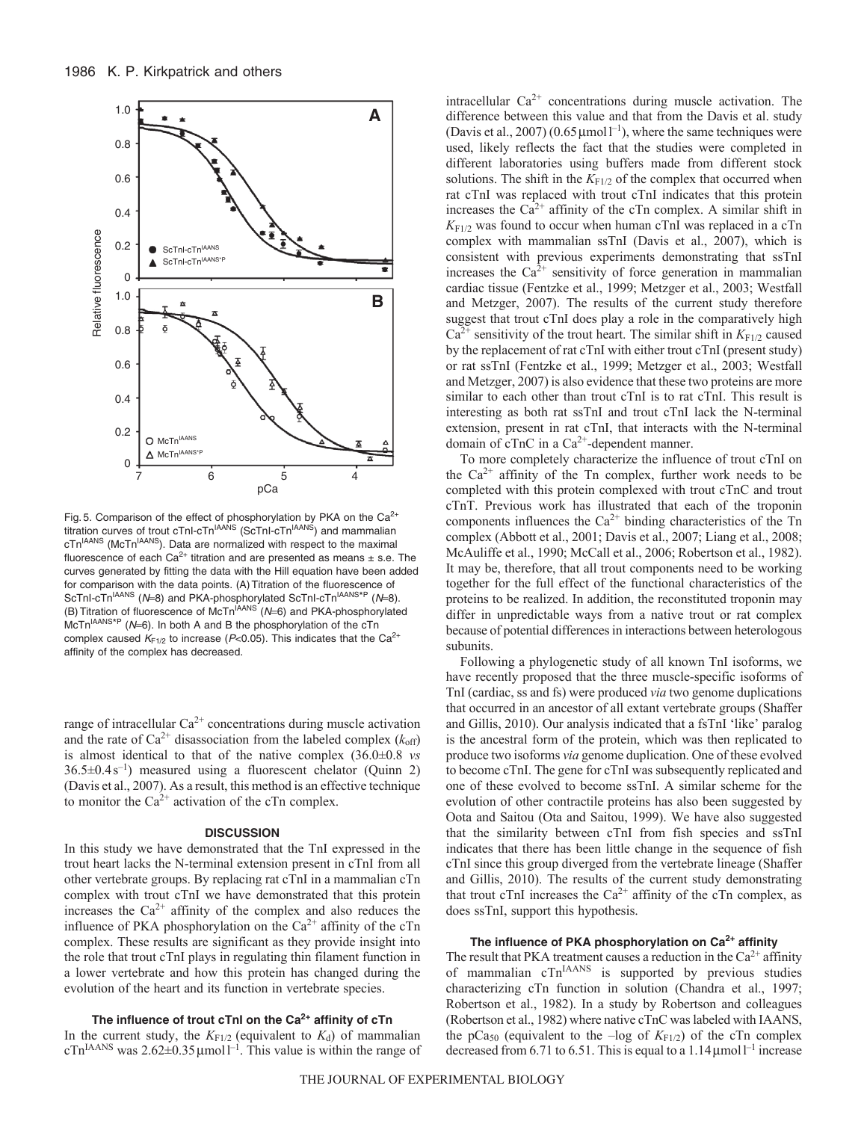

Fig. 5. Comparison of the effect of phosphorylation by PKA on the  $Ca^{2+}$ titration curves of trout cTnI-cTn<sup>IAANS</sup> (ScTnI-cTn<sup>IAANS</sup>) and mammalian cTn<sup>IAANS</sup> (McTn<sup>IAANS</sup>). Data are normalized with respect to the maximal fluorescence of each Ca<sup>2+</sup> titration and are presented as means  $\pm$  s.e. The curves generated by fitting the data with the Hill equation have been added for comparison with the data points. (A)Titration of the fluorescence of ScTnI-cTn<sup>IAANS</sup> (N=8) and PKA-phosphorylated ScTnI-cTn<sup>IAANS\*P</sup> (N=8). (B) Titration of fluorescence of McTn<sup>IAANS</sup> ( $N=6$ ) and PKA-phosphorylated McTn<sup>IAANS\*P</sup> (N=6). In both A and B the phosphorylation of the cTn complex caused  $K_{F1/2}$  to increase (P<0.05). This indicates that the Ca<sup>2+</sup> affinity of the complex has decreased.

range of intracellular  $Ca^{2+}$  concentrations during muscle activation and the rate of  $Ca^{2+}$  disassociation from the labeled complex ( $k_{\text{off}}$ ) is almost identical to that of the native complex (36.0±0.8 *vs*  $36.5\pm0.4$ s<sup>-1</sup>) measured using a fluorescent chelator (Quinn 2) (Davis et al., 2007). As a result, this method is an effective technique to monitor the  $Ca^{2+}$  activation of the cTn complex.

## **DISCUSSION**

In this study we have demonstrated that the TnI expressed in the trout heart lacks the N-terminal extension present in cTnI from all other vertebrate groups. By replacing rat cTnI in a mammalian cTn complex with trout cTnI we have demonstrated that this protein increases the  $Ca^{2+}$  affinity of the complex and also reduces the influence of PKA phosphorylation on the  $Ca^{2+}$  affinity of the cTn complex. These results are significant as they provide insight into the role that trout cTnI plays in regulating thin filament function in a lower vertebrate and how this protein has changed during the evolution of the heart and its function in vertebrate species.

**The influence of trout cTnI on the Ca2+ affinity of cTn** In the current study, the  $K_{F1/2}$  (equivalent to  $K_d$ ) of mammalian  $cTn^{IAANS}$  was 2.62 $\pm$ 0.35 µmoll<sup>-1</sup>. This value is within the range of intracellular  $Ca^{2+}$  concentrations during muscle activation. The difference between this value and that from the Davis et al. study (Davis et al., 2007) (0.65  $\mu$ moll<sup>-1</sup>), where the same techniques were used, likely reflects the fact that the studies were completed in different laboratories using buffers made from different stock solutions. The shift in the  $K_{F1/2}$  of the complex that occurred when rat cTnI was replaced with trout cTnI indicates that this protein increases the  $Ca^{2+}$  affinity of the cTn complex. A similar shift in  $K_{\text{F1/2}}$  was found to occur when human cTnI was replaced in a cTn complex with mammalian ssTnI (Davis et al., 2007), which is consistent with previous experiments demonstrating that ssTnI increases the  $Ca^{2+}$  sensitivity of force generation in mammalian cardiac tissue (Fentzke et al., 1999; Metzger et al., 2003; Westfall and Metzger, 2007). The results of the current study therefore suggest that trout cTnI does play a role in the comparatively high  $Ca^{2+}$  sensitivity of the trout heart. The similar shift in  $K_{F1/2}$  caused by the replacement of rat cTnI with either trout cTnI (present study) or rat ssTnI (Fentzke et al., 1999; Metzger et al., 2003; Westfall and Metzger, 2007) is also evidence that these two proteins are more similar to each other than trout cTnI is to rat cTnI. This result is interesting as both rat ssTnI and trout cTnI lack the N-terminal extension, present in rat cTnI, that interacts with the N-terminal domain of  $cTnC$  in a  $Ca^{2+}$ -dependent manner.

To more completely characterize the influence of trout cTnI on the  $Ca^{2+}$  affinity of the Tn complex, further work needs to be completed with this protein complexed with trout cTnC and trout cTnT. Previous work has illustrated that each of the troponin components influences the  $Ca^{2+}$  binding characteristics of the Tn complex (Abbott et al., 2001; Davis et al., 2007; Liang et al., 2008; McAuliffe et al., 1990; McCall et al., 2006; Robertson et al., 1982). It may be, therefore, that all trout components need to be working together for the full effect of the functional characteristics of the proteins to be realized. In addition, the reconstituted troponin may differ in unpredictable ways from a native trout or rat complex because of potential differences in interactions between heterologous subunits.

Following a phylogenetic study of all known TnI isoforms, we have recently proposed that the three muscle-specific isoforms of TnI (cardiac, ss and fs) were produced *via* two genome duplications that occurred in an ancestor of all extant vertebrate groups (Shaffer and Gillis, 2010). Our analysis indicated that a fsTnI 'like' paralog is the ancestral form of the protein, which was then replicated to produce two isoforms *via* genome duplication. One of these evolved to become cTnI. The gene for cTnI was subsequently replicated and one of these evolved to become ssTnI. A similar scheme for the evolution of other contractile proteins has also been suggested by Oota and Saitou (Ota and Saitou, 1999). We have also suggested that the similarity between cTnI from fish species and ssTnI indicates that there has been little change in the sequence of fish cTnI since this group diverged from the vertebrate lineage (Shaffer and Gillis, 2010). The results of the current study demonstrating that trout cTnI increases the  $Ca^{2+}$  affinity of the cTn complex, as does ssTnI, support this hypothesis.

## **The influence of PKA phosphorylation on Ca2+ affinity**

The result that PKA treatment causes a reduction in the  $Ca^{2+}$  affinity of mammalian cTnIAANS is supported by previous studies characterizing cTn function in solution (Chandra et al., 1997; Robertson et al., 1982). In a study by Robertson and colleagues (Robertson et al., 1982) where native cTnC was labeled with IAANS, the pCa<sub>50</sub> (equivalent to the  $-\log$  of  $K_{F1/2}$ ) of the cTn complex decreased from 6.71 to 6.51. This is equal to a  $1.14 \mu$  moll<sup>-1</sup> increase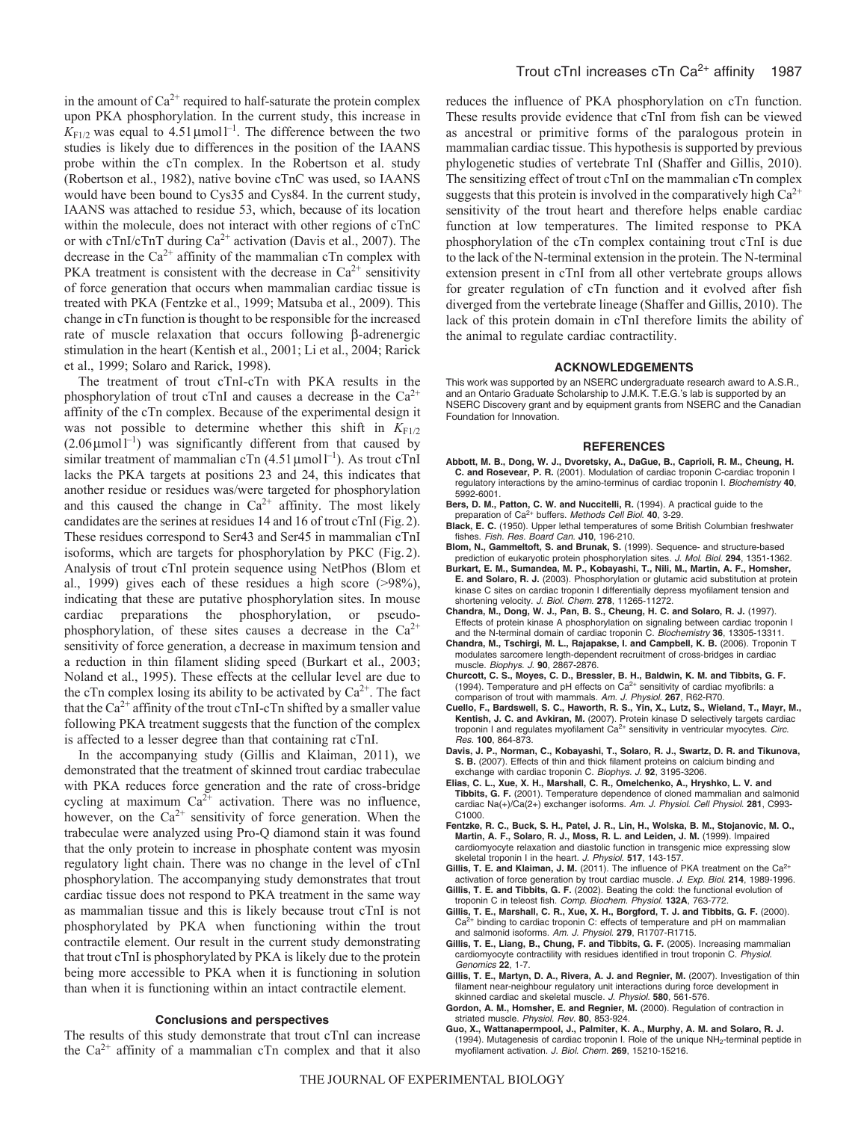in the amount of  $Ca^{2+}$  required to half-saturate the protein complex upon PKA phosphorylation. In the current study, this increase in  $K_{F1/2}$  was equal to 4.51 µmol<sup>1-1</sup>. The difference between the two studies is likely due to differences in the position of the IAANS probe within the cTn complex. In the Robertson et al. study (Robertson et al., 1982), native bovine cTnC was used, so IAANS would have been bound to Cys35 and Cys84. In the current study, IAANS was attached to residue 53, which, because of its location within the molecule, does not interact with other regions of cTnC or with cTnI/cTnT during  $Ca^{2+}$  activation (Davis et al., 2007). The decrease in the  $Ca^{2+}$  affinity of the mammalian cTn complex with PKA treatment is consistent with the decrease in  $Ca^{2+}$  sensitivity of force generation that occurs when mammalian cardiac tissue is treated with PKA (Fentzke et al., 1999; Matsuba et al., 2009). This change in cTn function is thought to be responsible for the increased rate of muscle relaxation that occurs following  $\beta$ -adrenergic stimulation in the heart (Kentish et al., 2001; Li et al., 2004; Rarick et al., 1999; Solaro and Rarick, 1998).

The treatment of trout cTnI-cTn with PKA results in the phosphorylation of trout cTnI and causes a decrease in the  $Ca^{2+}$ affinity of the cTn complex. Because of the experimental design it was not possible to determine whether this shift in *K*F1/2  $(2.06 \,\mu\text{mol}^{-1})$  was significantly different from that caused by similar treatment of mammalian cTn  $(4.51 \mu \text{mol})^{-1}$ ). As trout cTnI lacks the PKA targets at positions 23 and 24, this indicates that another residue or residues was/were targeted for phosphorylation and this caused the change in  $Ca^{2+}$  affinity. The most likely candidates are the serines at residues 14 and 16 of trout cTnI (Fig.2). These residues correspond to Ser43 and Ser45 in mammalian cTnI isoforms, which are targets for phosphorylation by PKC (Fig.2). Analysis of trout cTnI protein sequence using NetPhos (Blom et al., 1999) gives each of these residues a high score (>98%), indicating that these are putative phosphorylation sites. In mouse cardiac preparations the phosphorylation, or pseudophosphorylation, of these sites causes a decrease in the  $Ca^{2+}$ sensitivity of force generation, a decrease in maximum tension and a reduction in thin filament sliding speed (Burkart et al., 2003; Noland et al., 1995). These effects at the cellular level are due to the cTn complex losing its ability to be activated by  $Ca<sup>2+</sup>$ . The fact that the  $Ca^{2+}$  affinity of the trout cTnI-cTn shifted by a smaller value following PKA treatment suggests that the function of the complex is affected to a lesser degree than that containing rat cTnI.

In the accompanying study (Gillis and Klaiman, 2011), we demonstrated that the treatment of skinned trout cardiac trabeculae with PKA reduces force generation and the rate of cross-bridge cycling at maximum  $Ca^{2+}$  activation. There was no influence, however, on the  $Ca^{2+}$  sensitivity of force generation. When the trabeculae were analyzed using Pro-Q diamond stain it was found that the only protein to increase in phosphate content was myosin regulatory light chain. There was no change in the level of cTnI phosphorylation. The accompanying study demonstrates that trout cardiac tissue does not respond to PKA treatment in the same way as mammalian tissue and this is likely because trout cTnI is not phosphorylated by PKA when functioning within the trout contractile element. Our result in the current study demonstrating that trout cTnI is phosphorylated by PKA is likely due to the protein being more accessible to PKA when it is functioning in solution than when it is functioning within an intact contractile element.

## **Conclusions and perspectives**

The results of this study demonstrate that trout cTnI can increase the  $Ca^{2+}$  affinity of a mammalian cTn complex and that it also reduces the influence of PKA phosphorylation on cTn function. These results provide evidence that cTnI from fish can be viewed as ancestral or primitive forms of the paralogous protein in mammalian cardiac tissue. This hypothesis is supported by previous phylogenetic studies of vertebrate TnI (Shaffer and Gillis, 2010). The sensitizing effect of trout cTnI on the mammalian cTn complex suggests that this protein is involved in the comparatively high  $Ca^{2+}$ sensitivity of the trout heart and therefore helps enable cardiac function at low temperatures. The limited response to PKA phosphorylation of the cTn complex containing trout cTnI is due to the lack of the N-terminal extension in the protein. The N-terminal extension present in cTnI from all other vertebrate groups allows for greater regulation of cTn function and it evolved after fish diverged from the vertebrate lineage (Shaffer and Gillis, 2010). The lack of this protein domain in cTnI therefore limits the ability of the animal to regulate cardiac contractility.

## **ACKNOWLEDGEMENTS**

This work was supported by an NSERC undergraduate research award to A.S.R., and an Ontario Graduate Scholarship to J.M.K. T.E.G.'s lab is supported by an NSERC Discovery grant and by equipment grants from NSERC and the Canadian Foundation for Innovation.

#### **REFERENCES**

- **Abbott, M. B., Dong, W. J., Dvoretsky, A., DaGue, B., Caprioli, R. M., Cheung, H. C. and Rosevear, P. R.** (2001). Modulation of cardiac troponin C-cardiac troponin I regulatory interactions by the amino-terminus of cardiac troponin I. Biochemistry **40**, 5992-6001.
- **Bers, D. M., Patton, C. W. and Nuccitelli, R.** (1994). A practical guide to the preparation of Ca<sup>2+</sup> buffers. Methods Cell Biol. 40, 3-29.
- **Black, E. C.** (1950). Upper lethal temperatures of some British Columbian freshwater fishes. Fish. Res. Board Can. **J10**, 196-210.
- **Blom, N., Gammeltoft, S. and Brunak, S.** (1999). Sequence- and structure-based prediction of eukaryotic protein phosphorylation sites. J. Mol. Biol. **294**, 1351-1362.
- **Burkart, E. M., Sumandea, M. P., Kobayashi, T., Nili, M., Martin, A. F., Homsher, E. and Solaro, R. J.** (2003). Phosphorylation or glutamic acid substitution at protein kinase C sites on cardiac troponin I differentially depress myofilament tension and shortening velocity. J. Biol. Chem. **278**, 11265-11272.
- **Chandra, M., Dong, W. J., Pan, B. S., Cheung, H. C. and Solaro, R. J.** (1997). Effects of protein kinase A phosphorylation on signaling between cardiac troponin I and the N-terminal domain of cardiac troponin C. Biochemistry **36**, 13305-13311.
- **Chandra, M., Tschirgi, M. L., Rajapakse, I. and Campbell, K. B.** (2006). Troponin T modulates sarcomere length-dependent recruitment of cross-bridges in cardiac muscle. Biophys. J. **90**, 2867-2876.
- **Churcott, C. S., Moyes, C. D., Bressler, B. H., Baldwin, K. M. and Tibbits, G. F.** (1994). Temperature and pH effects on  $Ca^{2+}$  sensitivity of cardiac myofibrils: a comparison of trout with mammals. Am. J. Physiol. **267**, R62-R70.
- **Cuello, F., Bardswell, S. C., Haworth, R. S., Yin, X., Lutz, S., Wieland, T., Mayr, M., Kentish, J. C. and Avkiran, M.** (2007). Protein kinase D selectively targets cardiac troponin I and regulates myofilament  $Ca^{2+}$  sensitivity in ventricular myocytes. Circ. Res. **100**, 864-873.
- **Davis, J. P., Norman, C., Kobayashi, T., Solaro, R. J., Swartz, D. R. and Tikunova, S. B.** (2007). Effects of thin and thick filament proteins on calcium binding and exchange with cardiac troponin C. Biophys. J. **92**, 3195-3206.
- **Elias, C. L., Xue, X. H., Marshall, C. R., Omelchenko, A., Hryshko, L. V. and Tibbits, G. F.** (2001). Temperature dependence of cloned mammalian and salmonid cardiac Na(+)/Ca(2+) exchanger isoforms. Am. J. Physiol. Cell Physiol. **281**, C993- C1000.
- **Fentzke, R. C., Buck, S. H., Patel, J. R., Lin, H., Wolska, B. M., Stojanovic, M. O., Martin, A. F., Solaro, R. J., Moss, R. L. and Leiden, J. M.** (1999). Impaired cardiomyocyte relaxation and diastolic function in transgenic mice expressing slow skeletal troponin I in the heart. J. Physiol. **517**, 143-157.
- Gillis, T. E. and Klaiman, J. M. (2011). The influence of PKA treatment on the Ca<sup>2+</sup> activation of force generation by trout cardiac muscle. J. Exp. Biol. **214**, 1989-1996.
- **Gillis, T. E. and Tibbits, G. F.** (2002). Beating the cold: the functional evolution of troponin C in teleost fish. Comp. Biochem. Physiol. **132A**, 763-772.
- **Gillis, T. E., Marshall, C. R., Xue, X. H., Borgford, T. J. and Tibbits, G. F.** (2000). Ca<sup>2+</sup> binding to cardiac troponin C: effects of temperature and pH on mammalian and salmonid isoforms. Am. J. Physiol. **279**, R1707-R1715.
- **Gillis, T. E., Liang, B., Chung, F. and Tibbits, G. F.** (2005). Increasing mammalian cardiomyocyte contractility with residues identified in trout troponin C. Physiol. Genomics **22**, 1-7.
- **Gillis, T. E., Martyn, D. A., Rivera, A. J. and Regnier, M.** (2007). Investigation of thin filament near-neighbour regulatory unit interactions during force development in skinned cardiac and skeletal muscle. J. Physiol. **580**, 561-576.
- **Gordon, A. M., Homsher, E. and Regnier, M.** (2000). Regulation of contraction in striated muscle. Physiol. Rev. **80**, 853-924.
- **Guo, X., Wattanapermpool, J., Palmiter, K. A., Murphy, A. M. and Solaro, R. J.** (1994). Mutagenesis of cardiac troponin I. Role of the unique  $NH<sub>2</sub>$ -terminal peptide in myofilament activation. J. Biol. Chem. **269**, 15210-15216.